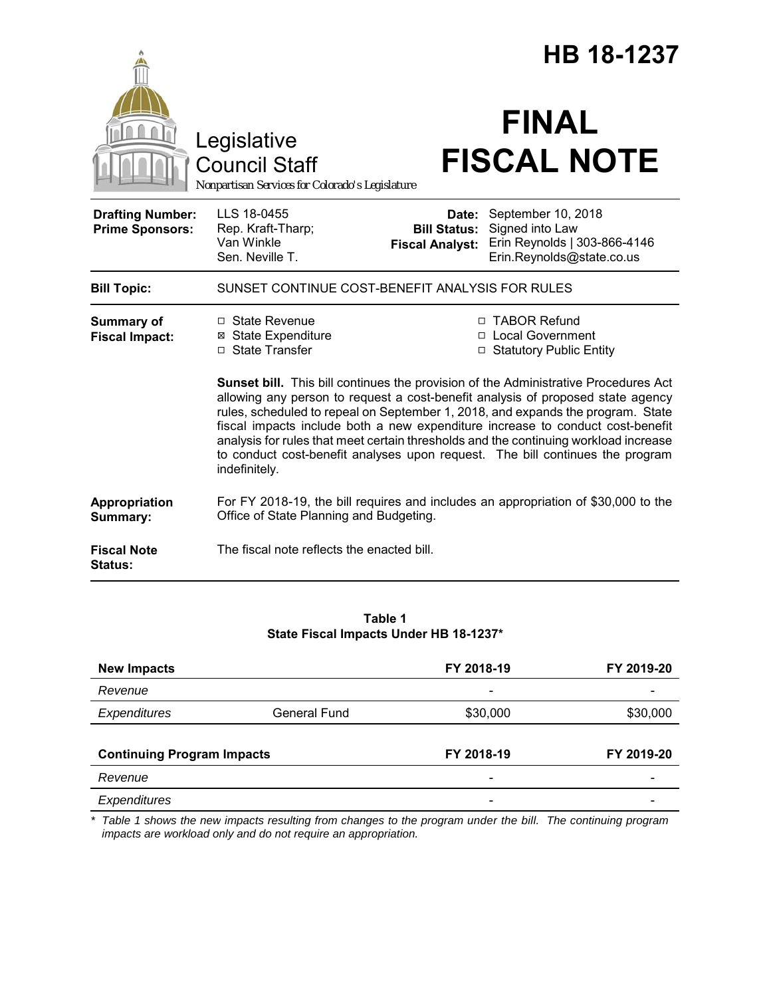|                                                   |                                                                                                                                                                                                                                                                                                                                                                                                                                                                                                                                       |                                                        | <b>HB 18-1237</b>                                                                                  |  |
|---------------------------------------------------|---------------------------------------------------------------------------------------------------------------------------------------------------------------------------------------------------------------------------------------------------------------------------------------------------------------------------------------------------------------------------------------------------------------------------------------------------------------------------------------------------------------------------------------|--------------------------------------------------------|----------------------------------------------------------------------------------------------------|--|
|                                                   | Legislative<br><b>Council Staff</b><br>Nonpartisan Services for Colorado's Legislature                                                                                                                                                                                                                                                                                                                                                                                                                                                |                                                        | <b>FINAL</b><br><b>FISCAL NOTE</b>                                                                 |  |
| <b>Drafting Number:</b><br><b>Prime Sponsors:</b> | LLS 18-0455<br>Rep. Kraft-Tharp;<br>Van Winkle<br>Sen. Neville T.                                                                                                                                                                                                                                                                                                                                                                                                                                                                     | Date:<br><b>Bill Status:</b><br><b>Fiscal Analyst:</b> | September 10, 2018<br>Signed into Law<br>Erin Reynolds   303-866-4146<br>Erin.Reynolds@state.co.us |  |
| <b>Bill Topic:</b>                                | SUNSET CONTINUE COST-BENEFIT ANALYSIS FOR RULES                                                                                                                                                                                                                                                                                                                                                                                                                                                                                       |                                                        |                                                                                                    |  |
| <b>Summary of</b><br><b>Fiscal Impact:</b>        | $\Box$ State Revenue<br><b>⊠</b> State Expenditure<br>□ State Transfer                                                                                                                                                                                                                                                                                                                                                                                                                                                                |                                                        | □ TABOR Refund<br>□ Local Government<br>□ Statutory Public Entity                                  |  |
|                                                   | Sunset bill. This bill continues the provision of the Administrative Procedures Act<br>allowing any person to request a cost-benefit analysis of proposed state agency<br>rules, scheduled to repeal on September 1, 2018, and expands the program. State<br>fiscal impacts include both a new expenditure increase to conduct cost-benefit<br>analysis for rules that meet certain thresholds and the continuing workload increase<br>to conduct cost-benefit analyses upon request. The bill continues the program<br>indefinitely. |                                                        |                                                                                                    |  |
| Appropriation<br>Summary:                         | For FY 2018-19, the bill requires and includes an appropriation of \$30,000 to the<br>Office of State Planning and Budgeting.                                                                                                                                                                                                                                                                                                                                                                                                         |                                                        |                                                                                                    |  |
| <b>Fiscal Note</b><br><b>Status:</b>              | The fiscal note reflects the enacted bill.                                                                                                                                                                                                                                                                                                                                                                                                                                                                                            |                                                        |                                                                                                    |  |

## **Table 1 State Fiscal Impacts Under HB 18-1237\***

| <b>New Impacts</b>                |              | FY 2018-19               | FY 2019-20 |
|-----------------------------------|--------------|--------------------------|------------|
| Revenue                           |              |                          |            |
| Expenditures                      | General Fund | \$30,000                 | \$30,000   |
|                                   |              |                          |            |
| <b>Continuing Program Impacts</b> |              | FY 2018-19               | FY 2019-20 |
| Revenue                           |              | $\overline{\phantom{a}}$ |            |
| Expenditures                      |              |                          |            |

*\* Table 1 shows the new impacts resulting from changes to the program under the bill. The continuing program impacts are workload only and do not require an appropriation.*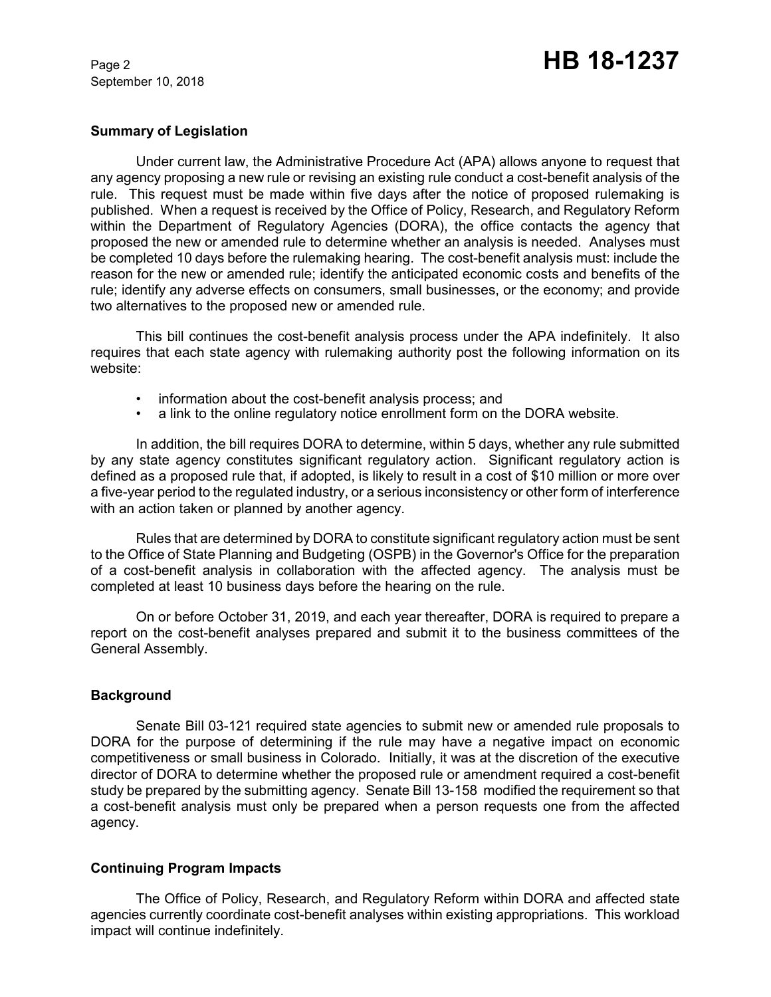September 10, 2018

# Page 2 **HB 18-1237**

## **Summary of Legislation**

Under current law, the Administrative Procedure Act (APA) allows anyone to request that any agency proposing a new rule or revising an existing rule conduct a cost-benefit analysis of the rule. This request must be made within five days after the notice of proposed rulemaking is published. When a request is received by the Office of Policy, Research, and Regulatory Reform within the Department of Regulatory Agencies (DORA), the office contacts the agency that proposed the new or amended rule to determine whether an analysis is needed. Analyses must be completed 10 days before the rulemaking hearing. The cost-benefit analysis must: include the reason for the new or amended rule; identify the anticipated economic costs and benefits of the rule; identify any adverse effects on consumers, small businesses, or the economy; and provide two alternatives to the proposed new or amended rule.

This bill continues the cost-benefit analysis process under the APA indefinitely. It also requires that each state agency with rulemaking authority post the following information on its website:

- information about the cost-benefit analysis process; and
- a link to the online regulatory notice enrollment form on the DORA website.

In addition, the bill requires DORA to determine, within 5 days, whether any rule submitted by any state agency constitutes significant regulatory action. Significant regulatory action is defined as a proposed rule that, if adopted, is likely to result in a cost of \$10 million or more over a five-year period to the regulated industry, or a serious inconsistency or other form of interference with an action taken or planned by another agency.

Rules that are determined by DORA to constitute significant regulatory action must be sent to the Office of State Planning and Budgeting (OSPB) in the Governor's Office for the preparation of a cost-benefit analysis in collaboration with the affected agency. The analysis must be completed at least 10 business days before the hearing on the rule.

On or before October 31, 2019, and each year thereafter, DORA is required to prepare a report on the cost-benefit analyses prepared and submit it to the business committees of the General Assembly.

#### **Background**

Senate Bill 03-121 required state agencies to submit new or amended rule proposals to DORA for the purpose of determining if the rule may have a negative impact on economic competitiveness or small business in Colorado. Initially, it was at the discretion of the executive director of DORA to determine whether the proposed rule or amendment required a cost-benefit study be prepared by the submitting agency. Senate Bill 13-158 modified the requirement so that a cost-benefit analysis must only be prepared when a person requests one from the affected agency.

## **Continuing Program Impacts**

The Office of Policy, Research, and Regulatory Reform within DORA and affected state agencies currently coordinate cost-benefit analyses within existing appropriations. This workload impact will continue indefinitely.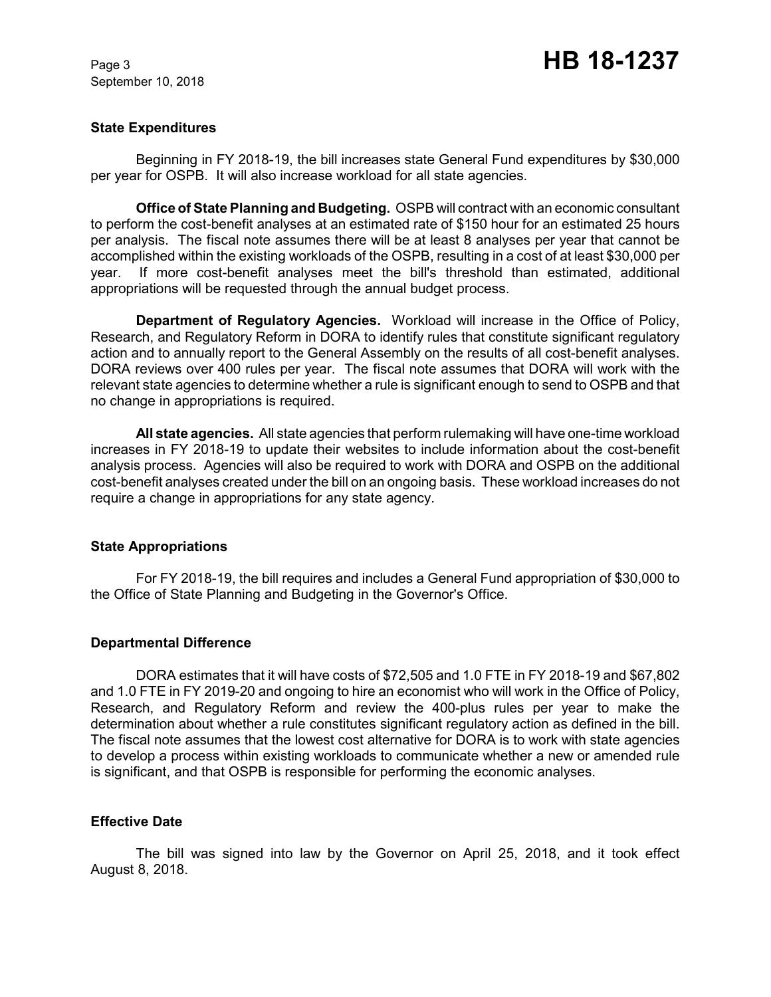September 10, 2018

### **State Expenditures**

Beginning in FY 2018-19, the bill increases state General Fund expenditures by \$30,000 per year for OSPB. It will also increase workload for all state agencies.

**Office of State Planning and Budgeting.** OSPB will contract with an economic consultant to perform the cost-benefit analyses at an estimated rate of \$150 hour for an estimated 25 hours per analysis. The fiscal note assumes there will be at least 8 analyses per year that cannot be accomplished within the existing workloads of the OSPB, resulting in a cost of at least \$30,000 per year. If more cost-benefit analyses meet the bill's threshold than estimated, additional appropriations will be requested through the annual budget process.

**Department of Regulatory Agencies.** Workload will increase in the Office of Policy, Research, and Regulatory Reform in DORA to identify rules that constitute significant regulatory action and to annually report to the General Assembly on the results of all cost-benefit analyses. DORA reviews over 400 rules per year. The fiscal note assumes that DORA will work with the relevant state agencies to determine whether a rule is significant enough to send to OSPB and that no change in appropriations is required.

**All state agencies.** All state agencies that perform rulemaking will have one-time workload increases in FY 2018-19 to update their websites to include information about the cost-benefit analysis process. Agencies will also be required to work with DORA and OSPB on the additional cost-benefit analyses created under the bill on an ongoing basis. These workload increases do not require a change in appropriations for any state agency.

#### **State Appropriations**

For FY 2018-19, the bill requires and includes a General Fund appropriation of \$30,000 to the Office of State Planning and Budgeting in the Governor's Office.

## **Departmental Difference**

DORA estimates that it will have costs of \$72,505 and 1.0 FTE in FY 2018-19 and \$67,802 and 1.0 FTE in FY 2019-20 and ongoing to hire an economist who will work in the Office of Policy, Research, and Regulatory Reform and review the 400-plus rules per year to make the determination about whether a rule constitutes significant regulatory action as defined in the bill. The fiscal note assumes that the lowest cost alternative for DORA is to work with state agencies to develop a process within existing workloads to communicate whether a new or amended rule is significant, and that OSPB is responsible for performing the economic analyses.

#### **Effective Date**

The bill was signed into law by the Governor on April 25, 2018, and it took effect August 8, 2018.